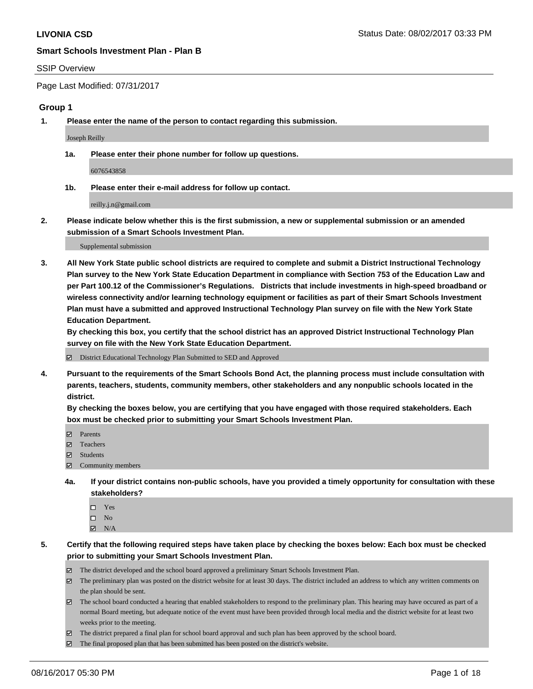#### SSIP Overview

Page Last Modified: 07/31/2017

#### **Group 1**

**1. Please enter the name of the person to contact regarding this submission.**

Joseph Reilly

**1a. Please enter their phone number for follow up questions.**

6076543858

**1b. Please enter their e-mail address for follow up contact.**

reilly.j.n@gmail.com

**2. Please indicate below whether this is the first submission, a new or supplemental submission or an amended submission of a Smart Schools Investment Plan.**

Supplemental submission

**3. All New York State public school districts are required to complete and submit a District Instructional Technology Plan survey to the New York State Education Department in compliance with Section 753 of the Education Law and per Part 100.12 of the Commissioner's Regulations. Districts that include investments in high-speed broadband or wireless connectivity and/or learning technology equipment or facilities as part of their Smart Schools Investment Plan must have a submitted and approved Instructional Technology Plan survey on file with the New York State Education Department.** 

**By checking this box, you certify that the school district has an approved District Instructional Technology Plan survey on file with the New York State Education Department.**

District Educational Technology Plan Submitted to SED and Approved

**4. Pursuant to the requirements of the Smart Schools Bond Act, the planning process must include consultation with parents, teachers, students, community members, other stakeholders and any nonpublic schools located in the district.** 

**By checking the boxes below, you are certifying that you have engaged with those required stakeholders. Each box must be checked prior to submitting your Smart Schools Investment Plan.**

- **マ** Parents
- □ Teachers
- Students
- $\Xi$  Community members
- **4a. If your district contains non-public schools, have you provided a timely opportunity for consultation with these stakeholders?**
	- Yes
	- $\hfill \square$  No
	- $\boxtimes$  N/A
- **5. Certify that the following required steps have taken place by checking the boxes below: Each box must be checked prior to submitting your Smart Schools Investment Plan.**
	- The district developed and the school board approved a preliminary Smart Schools Investment Plan.
	- $\boxtimes$  The preliminary plan was posted on the district website for at least 30 days. The district included an address to which any written comments on the plan should be sent.
	- $\boxtimes$  The school board conducted a hearing that enabled stakeholders to respond to the preliminary plan. This hearing may have occured as part of a normal Board meeting, but adequate notice of the event must have been provided through local media and the district website for at least two weeks prior to the meeting.
	- The district prepared a final plan for school board approval and such plan has been approved by the school board.
	- $\boxtimes$  The final proposed plan that has been submitted has been posted on the district's website.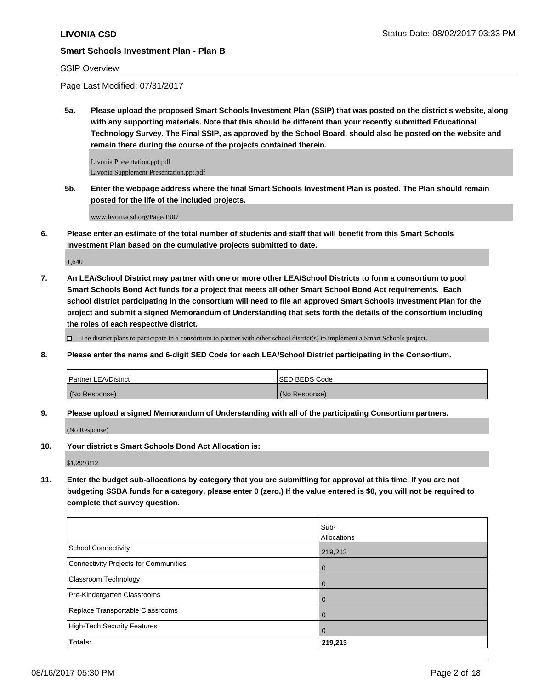### SSIP Overview

Page Last Modified: 07/31/2017

**5a. Please upload the proposed Smart Schools Investment Plan (SSIP) that was posted on the district's website, along with any supporting materials. Note that this should be different than your recently submitted Educational Technology Survey. The Final SSIP, as approved by the School Board, should also be posted on the website and remain there during the course of the projects contained therein.**

Livonia Presentation.ppt.pdf Livonia Supplement Presentation.ppt.pdf

**5b. Enter the webpage address where the final Smart Schools Investment Plan is posted. The Plan should remain posted for the life of the included projects.**

www.livoniacsd.org/Page/1907

**6. Please enter an estimate of the total number of students and staff that will benefit from this Smart Schools Investment Plan based on the cumulative projects submitted to date.**

1,640

**7. An LEA/School District may partner with one or more other LEA/School Districts to form a consortium to pool Smart Schools Bond Act funds for a project that meets all other Smart School Bond Act requirements. Each school district participating in the consortium will need to file an approved Smart Schools Investment Plan for the project and submit a signed Memorandum of Understanding that sets forth the details of the consortium including the roles of each respective district.**

 $\Box$  The district plans to participate in a consortium to partner with other school district(s) to implement a Smart Schools project.

**8. Please enter the name and 6-digit SED Code for each LEA/School District participating in the Consortium.**

| <b>Partner LEA/District</b> | ISED BEDS Code |
|-----------------------------|----------------|
| (No Response)               | (No Response)  |

**9. Please upload a signed Memorandum of Understanding with all of the participating Consortium partners.**

(No Response)

**10. Your district's Smart Schools Bond Act Allocation is:**

\$1,299,812

**11. Enter the budget sub-allocations by category that you are submitting for approval at this time. If you are not budgeting SSBA funds for a category, please enter 0 (zero.) If the value entered is \$0, you will not be required to complete that survey question.**

|                                       | Sub-<br><b>Allocations</b> |
|---------------------------------------|----------------------------|
| School Connectivity                   | 219,213                    |
| Connectivity Projects for Communities | $\overline{0}$             |
| <b>Classroom Technology</b>           | $\overline{0}$             |
| Pre-Kindergarten Classrooms           | $\overline{0}$             |
| Replace Transportable Classrooms      | $\Omega$                   |
| High-Tech Security Features           | $\overline{0}$             |
| Totals:                               | 219,213                    |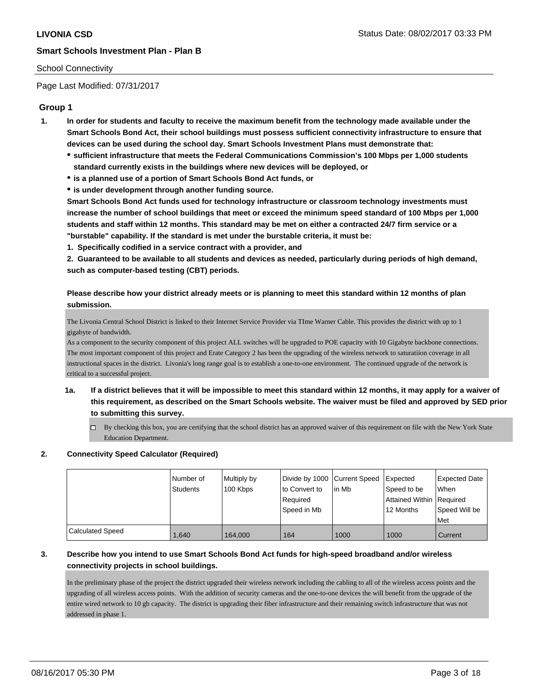### School Connectivity

Page Last Modified: 07/31/2017

# **Group 1**

- **1. In order for students and faculty to receive the maximum benefit from the technology made available under the Smart Schools Bond Act, their school buildings must possess sufficient connectivity infrastructure to ensure that devices can be used during the school day. Smart Schools Investment Plans must demonstrate that:**
	- **sufficient infrastructure that meets the Federal Communications Commission's 100 Mbps per 1,000 students standard currently exists in the buildings where new devices will be deployed, or**
	- **is a planned use of a portion of Smart Schools Bond Act funds, or**
	- **is under development through another funding source.**

**Smart Schools Bond Act funds used for technology infrastructure or classroom technology investments must increase the number of school buildings that meet or exceed the minimum speed standard of 100 Mbps per 1,000 students and staff within 12 months. This standard may be met on either a contracted 24/7 firm service or a "burstable" capability. If the standard is met under the burstable criteria, it must be:**

**1. Specifically codified in a service contract with a provider, and**

**2. Guaranteed to be available to all students and devices as needed, particularly during periods of high demand, such as computer-based testing (CBT) periods.**

# **Please describe how your district already meets or is planning to meet this standard within 12 months of plan submission.**

The Livonia Central School District is linked to their Internet Service Provider via TIme Warner Cable. This provides the district with up to 1 gigabyte of bandwidth.

As a component to the security component of this project ALL switches will be upgraded to POE capacity with 10 Gigabyte backbone connections. The most important component of this project and Erate Category 2 has been the upgrading of the wireless network to saturatiion coverage in all instructional spaces in the district. Livonia's long range goal is to establish a one-to-one environment. The continued upgrade of the network is critical to a successful project.

- **1a. If a district believes that it will be impossible to meet this standard within 12 months, it may apply for a waiver of this requirement, as described on the Smart Schools website. The waiver must be filed and approved by SED prior to submitting this survey.**
	- $\Box$  By checking this box, you are certifying that the school district has an approved waiver of this requirement on file with the New York State Education Department.

#### **2. Connectivity Speed Calculator (Required)**

|                  | Number of<br><b>Students</b> | Multiply by<br>100 Kbps | Divide by 1000 Current Speed<br>to Convert to<br>Required<br>Speed in Mb | lin Mb | <b>Expected</b><br>Speed to be<br>Attained Within Required<br>12 Months | <b>Expected Date</b><br>When<br>Speed Will be<br>Met |
|------------------|------------------------------|-------------------------|--------------------------------------------------------------------------|--------|-------------------------------------------------------------------------|------------------------------------------------------|
| Calculated Speed | 1.640                        | 164.000                 | 164                                                                      | 1000   | 1000                                                                    | Current                                              |

# **3. Describe how you intend to use Smart Schools Bond Act funds for high-speed broadband and/or wireless connectivity projects in school buildings.**

In the preliminary phase of the project the district upgraded their wireless network including the cabling to all of the wireless access points and the upgrading of all wireless access points. With the addition of security cameras and the one-to-one devices the will benefit from the upgrade of the entire wired network to 10 gb capacity. The district is upgrading their fiber infrastructure and their remaining switch infrastructure that was not addressed in phase 1.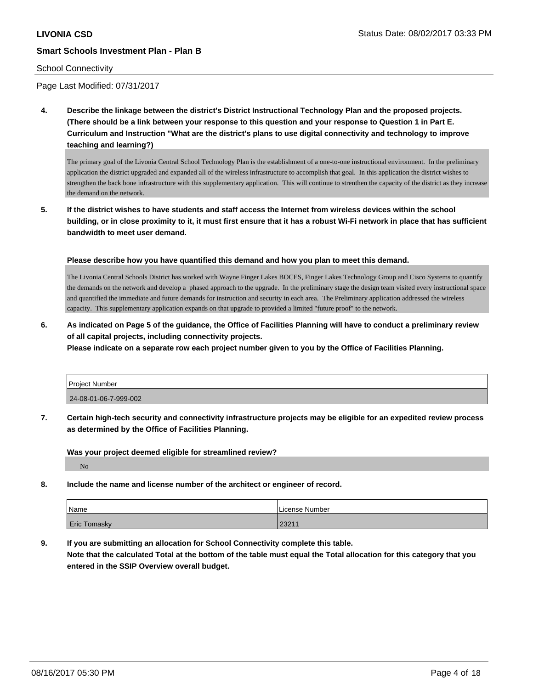#### School Connectivity

Page Last Modified: 07/31/2017

**4. Describe the linkage between the district's District Instructional Technology Plan and the proposed projects. (There should be a link between your response to this question and your response to Question 1 in Part E. Curriculum and Instruction "What are the district's plans to use digital connectivity and technology to improve teaching and learning?)**

The primary goal of the Livonia Central School Technology Plan is the establishment of a one-to-one instructional environment. In the preliminary application the district upgraded and expanded all of the wireless infrastructure to accomplish that goal. In this application the district wishes to strengthen the back bone infrastructure with this supplementary application. This will continue to strenthen the capacity of the district as they increase the demand on the network.

**5. If the district wishes to have students and staff access the Internet from wireless devices within the school building, or in close proximity to it, it must first ensure that it has a robust Wi-Fi network in place that has sufficient bandwidth to meet user demand.**

**Please describe how you have quantified this demand and how you plan to meet this demand.**

The Livonia Central Schools District has worked with Wayne Finger Lakes BOCES, Finger Lakes Technology Group and Cisco Systems to quantify the demands on the network and develop a phased approach to the upgrade. In the preliminary stage the design team visited every instructional space and quantified the immediate and future demands for instruction and security in each area. The Preliminary application addressed the wireless capacity. This supplementary application expands on that upgrade to provided a limited "future proof" to the network.

**6. As indicated on Page 5 of the guidance, the Office of Facilities Planning will have to conduct a preliminary review of all capital projects, including connectivity projects.**

**Please indicate on a separate row each project number given to you by the Office of Facilities Planning.**

| <b>Project Number</b> |  |
|-----------------------|--|
| 24-08-01-06-7-999-002 |  |

**7. Certain high-tech security and connectivity infrastructure projects may be eligible for an expedited review process as determined by the Office of Facilities Planning.**

**Was your project deemed eligible for streamlined review?**

No

**8. Include the name and license number of the architect or engineer of record.**

| Name                | License Number |
|---------------------|----------------|
| <b>Eric Tomasky</b> | 23211          |

**9. If you are submitting an allocation for School Connectivity complete this table. Note that the calculated Total at the bottom of the table must equal the Total allocation for this category that you entered in the SSIP Overview overall budget.**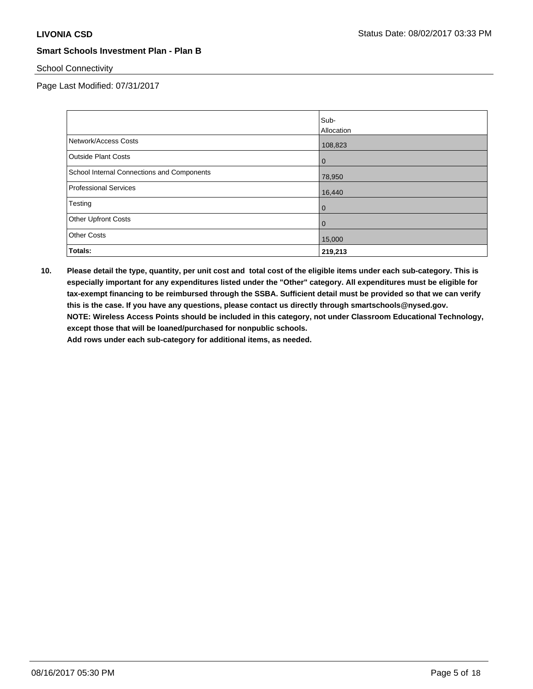### School Connectivity

Page Last Modified: 07/31/2017

|                                            | Sub-           |
|--------------------------------------------|----------------|
|                                            | Allocation     |
| Network/Access Costs                       | 108,823        |
| <b>Outside Plant Costs</b>                 | l 0            |
| School Internal Connections and Components | 78,950         |
| <b>Professional Services</b>               | 16,440         |
| Testing                                    | $\overline{0}$ |
| <b>Other Upfront Costs</b>                 | $\overline{0}$ |
| <b>Other Costs</b>                         | 15,000         |
| Totals:                                    | 219,213        |

**10. Please detail the type, quantity, per unit cost and total cost of the eligible items under each sub-category. This is especially important for any expenditures listed under the "Other" category. All expenditures must be eligible for tax-exempt financing to be reimbursed through the SSBA. Sufficient detail must be provided so that we can verify this is the case. If you have any questions, please contact us directly through smartschools@nysed.gov. NOTE: Wireless Access Points should be included in this category, not under Classroom Educational Technology, except those that will be loaned/purchased for nonpublic schools.**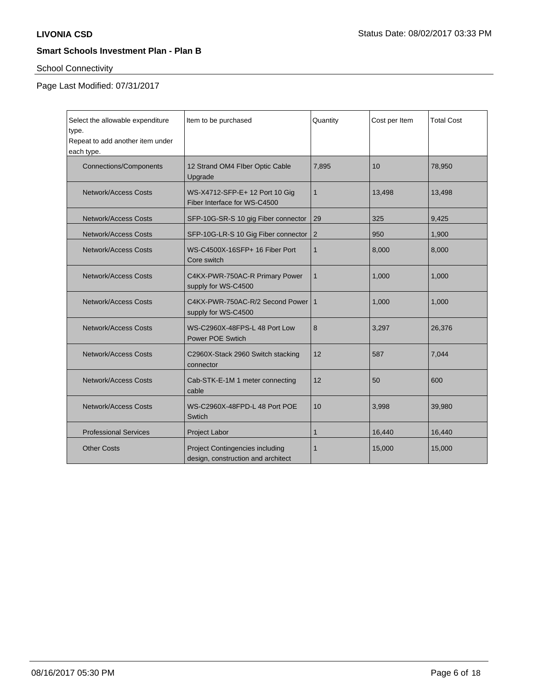# School Connectivity

Page Last Modified: 07/31/2017

| Select the allowable expenditure<br>type.<br>Repeat to add another item under<br>each type. | Item to be purchased                                                         | Quantity       | Cost per Item | <b>Total Cost</b> |
|---------------------------------------------------------------------------------------------|------------------------------------------------------------------------------|----------------|---------------|-------------------|
| <b>Connections/Components</b>                                                               | 12 Strand OM4 Flber Optic Cable<br>Upgrade                                   | 7,895          | 10            | 78,950            |
| <b>Network/Access Costs</b>                                                                 | WS-X4712-SFP-E+ 12 Port 10 Gig<br>Fiber Interface for WS-C4500               | $\mathbf{1}$   | 13,498        | 13,498            |
| Network/Access Costs                                                                        | SFP-10G-SR-S 10 gig Fiber connector                                          | 29             | 325           | 9,425             |
| <b>Network/Access Costs</b>                                                                 | SFP-10G-LR-S 10 Gig Fiber connector                                          | $\overline{2}$ | 950           | 1,900             |
| <b>Network/Access Costs</b>                                                                 | WS-C4500X-16SFP+ 16 Fiber Port<br>Core switch                                | $\mathbf{1}$   | 8,000         | 8,000             |
| Network/Access Costs                                                                        | C4KX-PWR-750AC-R Primary Power<br>supply for WS-C4500                        | $\mathbf 1$    | 1,000         | 1,000             |
| Network/Access Costs                                                                        | C4KX-PWR-750AC-R/2 Second Power<br>supply for WS-C4500                       | $\mathbf{1}$   | 1.000         | 1,000             |
| Network/Access Costs                                                                        | WS-C2960X-48FPS-L 48 Port Low<br>Power POE Swtich                            | 8              | 3,297         | 26,376            |
| Network/Access Costs                                                                        | C2960X-Stack 2960 Switch stacking<br>connector                               | 12             | 587           | 7,044             |
| Network/Access Costs                                                                        | Cab-STK-E-1M 1 meter connecting<br>cable                                     | 12             | 50            | 600               |
| <b>Network/Access Costs</b>                                                                 | WS-C2960X-48FPD-L 48 Port POE<br>Swtich                                      | 10             | 3,998         | 39,980            |
| <b>Professional Services</b>                                                                | Project Labor                                                                | 1              | 16,440        | 16,440            |
| <b>Other Costs</b>                                                                          | <b>Project Contingencies including</b><br>design, construction and architect | 1              | 15,000        | 15,000            |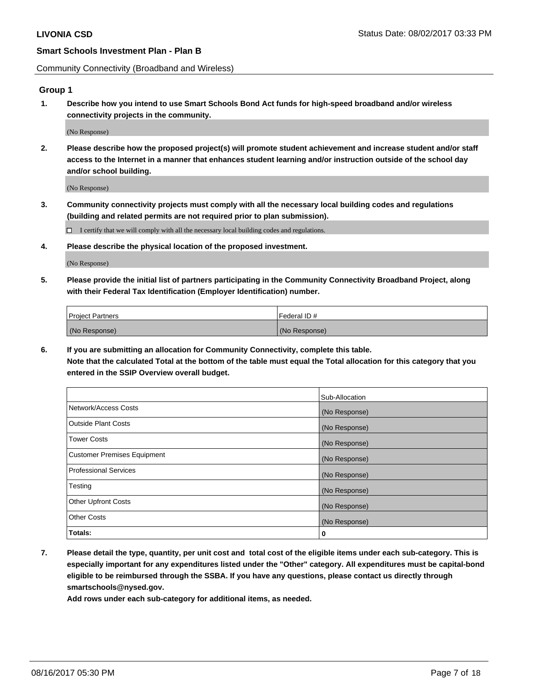Community Connectivity (Broadband and Wireless)

### **Group 1**

**1. Describe how you intend to use Smart Schools Bond Act funds for high-speed broadband and/or wireless connectivity projects in the community.**

(No Response)

**2. Please describe how the proposed project(s) will promote student achievement and increase student and/or staff access to the Internet in a manner that enhances student learning and/or instruction outside of the school day and/or school building.**

(No Response)

**3. Community connectivity projects must comply with all the necessary local building codes and regulations (building and related permits are not required prior to plan submission).**

 $\Box$  I certify that we will comply with all the necessary local building codes and regulations.

**4. Please describe the physical location of the proposed investment.**

(No Response)

**5. Please provide the initial list of partners participating in the Community Connectivity Broadband Project, along with their Federal Tax Identification (Employer Identification) number.**

| <b>Project Partners</b> | l Federal ID # |
|-------------------------|----------------|
| (No Response)           | (No Response)  |

**6. If you are submitting an allocation for Community Connectivity, complete this table. Note that the calculated Total at the bottom of the table must equal the Total allocation for this category that you entered in the SSIP Overview overall budget.**

|                                    | Sub-Allocation |
|------------------------------------|----------------|
| Network/Access Costs               | (No Response)  |
| Outside Plant Costs                | (No Response)  |
| <b>Tower Costs</b>                 | (No Response)  |
| <b>Customer Premises Equipment</b> | (No Response)  |
| Professional Services              | (No Response)  |
| Testing                            | (No Response)  |
| <b>Other Upfront Costs</b>         | (No Response)  |
| <b>Other Costs</b>                 | (No Response)  |
| Totals:                            | 0              |

**7. Please detail the type, quantity, per unit cost and total cost of the eligible items under each sub-category. This is especially important for any expenditures listed under the "Other" category. All expenditures must be capital-bond eligible to be reimbursed through the SSBA. If you have any questions, please contact us directly through smartschools@nysed.gov.**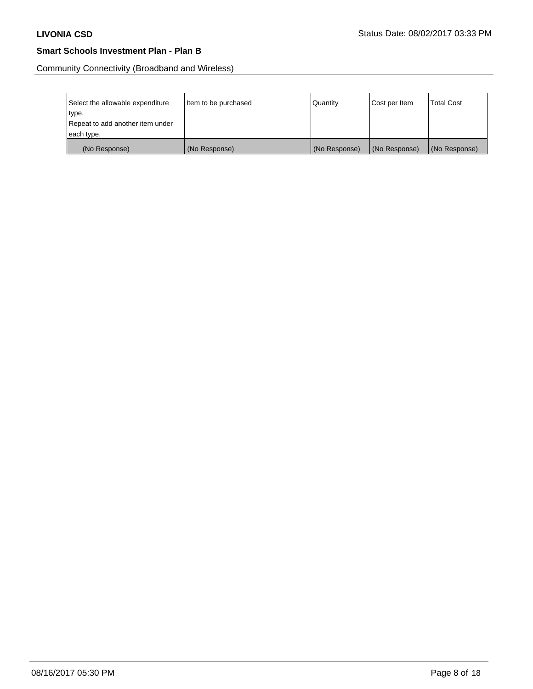Community Connectivity (Broadband and Wireless)

| Select the allowable expenditure<br>type.      | Item to be purchased | Quantity      | Cost per Item | <b>Total Cost</b> |
|------------------------------------------------|----------------------|---------------|---------------|-------------------|
| Repeat to add another item under<br>each type. |                      |               |               |                   |
| (No Response)                                  | (No Response)        | (No Response) | (No Response) | (No Response)     |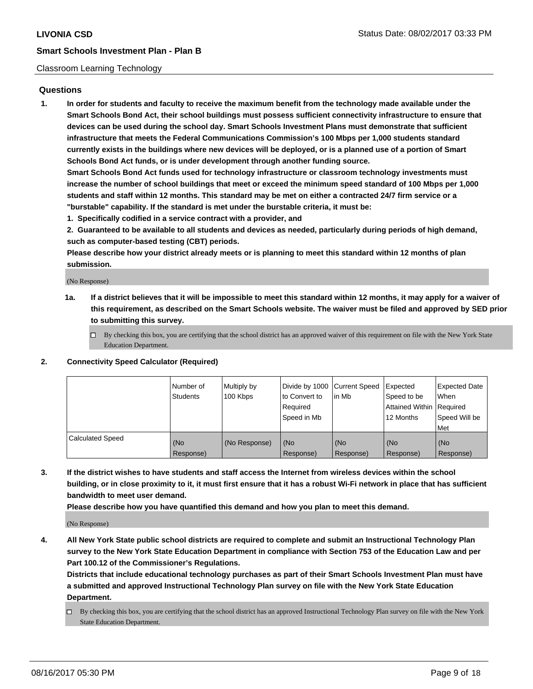#### Classroom Learning Technology

### **Questions**

**1. In order for students and faculty to receive the maximum benefit from the technology made available under the Smart Schools Bond Act, their school buildings must possess sufficient connectivity infrastructure to ensure that devices can be used during the school day. Smart Schools Investment Plans must demonstrate that sufficient infrastructure that meets the Federal Communications Commission's 100 Mbps per 1,000 students standard currently exists in the buildings where new devices will be deployed, or is a planned use of a portion of Smart Schools Bond Act funds, or is under development through another funding source.**

**Smart Schools Bond Act funds used for technology infrastructure or classroom technology investments must increase the number of school buildings that meet or exceed the minimum speed standard of 100 Mbps per 1,000 students and staff within 12 months. This standard may be met on either a contracted 24/7 firm service or a "burstable" capability. If the standard is met under the burstable criteria, it must be:**

**1. Specifically codified in a service contract with a provider, and**

**2. Guaranteed to be available to all students and devices as needed, particularly during periods of high demand, such as computer-based testing (CBT) periods.**

**Please describe how your district already meets or is planning to meet this standard within 12 months of plan submission.**

(No Response)

- **1a. If a district believes that it will be impossible to meet this standard within 12 months, it may apply for a waiver of this requirement, as described on the Smart Schools website. The waiver must be filed and approved by SED prior to submitting this survey.**
	- $\Box$  By checking this box, you are certifying that the school district has an approved waiver of this requirement on file with the New York State Education Department.

#### **2. Connectivity Speed Calculator (Required)**

|                         | Number of<br><b>Students</b> | Multiply by<br>100 Kbps | Divide by 1000 Current Speed<br>to Convert to<br>Required<br>Speed in Mb | l in Mb          | Expected<br>Speed to be<br>Attained Within   Required<br>12 Months | <b>Expected Date</b><br><b>When</b><br>Speed Will be<br>Met |
|-------------------------|------------------------------|-------------------------|--------------------------------------------------------------------------|------------------|--------------------------------------------------------------------|-------------------------------------------------------------|
| <b>Calculated Speed</b> | (No<br>Response)             | (No Response)           | (No<br>Response)                                                         | (No<br>Response) | (No<br>Response)                                                   | (No<br>Response)                                            |

**3. If the district wishes to have students and staff access the Internet from wireless devices within the school building, or in close proximity to it, it must first ensure that it has a robust Wi-Fi network in place that has sufficient bandwidth to meet user demand.**

**Please describe how you have quantified this demand and how you plan to meet this demand.**

(No Response)

**4. All New York State public school districts are required to complete and submit an Instructional Technology Plan survey to the New York State Education Department in compliance with Section 753 of the Education Law and per Part 100.12 of the Commissioner's Regulations.**

**Districts that include educational technology purchases as part of their Smart Schools Investment Plan must have a submitted and approved Instructional Technology Plan survey on file with the New York State Education Department.**

By checking this box, you are certifying that the school district has an approved Instructional Technology Plan survey on file with the New York State Education Department.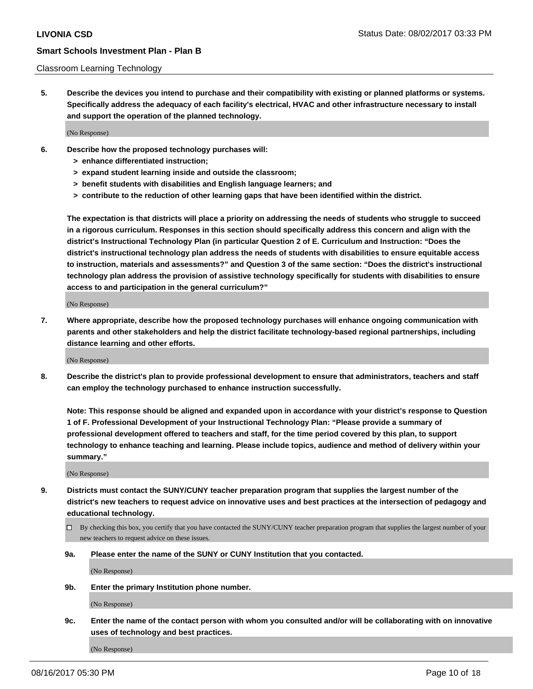#### Classroom Learning Technology

**5. Describe the devices you intend to purchase and their compatibility with existing or planned platforms or systems. Specifically address the adequacy of each facility's electrical, HVAC and other infrastructure necessary to install and support the operation of the planned technology.**

(No Response)

- **6. Describe how the proposed technology purchases will:**
	- **> enhance differentiated instruction;**
	- **> expand student learning inside and outside the classroom;**
	- **> benefit students with disabilities and English language learners; and**
	- **> contribute to the reduction of other learning gaps that have been identified within the district.**

**The expectation is that districts will place a priority on addressing the needs of students who struggle to succeed in a rigorous curriculum. Responses in this section should specifically address this concern and align with the district's Instructional Technology Plan (in particular Question 2 of E. Curriculum and Instruction: "Does the district's instructional technology plan address the needs of students with disabilities to ensure equitable access to instruction, materials and assessments?" and Question 3 of the same section: "Does the district's instructional technology plan address the provision of assistive technology specifically for students with disabilities to ensure access to and participation in the general curriculum?"**

(No Response)

**7. Where appropriate, describe how the proposed technology purchases will enhance ongoing communication with parents and other stakeholders and help the district facilitate technology-based regional partnerships, including distance learning and other efforts.**

(No Response)

**8. Describe the district's plan to provide professional development to ensure that administrators, teachers and staff can employ the technology purchased to enhance instruction successfully.**

**Note: This response should be aligned and expanded upon in accordance with your district's response to Question 1 of F. Professional Development of your Instructional Technology Plan: "Please provide a summary of professional development offered to teachers and staff, for the time period covered by this plan, to support technology to enhance teaching and learning. Please include topics, audience and method of delivery within your summary."**

(No Response)

- **9. Districts must contact the SUNY/CUNY teacher preparation program that supplies the largest number of the district's new teachers to request advice on innovative uses and best practices at the intersection of pedagogy and educational technology.**
	- By checking this box, you certify that you have contacted the SUNY/CUNY teacher preparation program that supplies the largest number of your new teachers to request advice on these issues.
	- **9a. Please enter the name of the SUNY or CUNY Institution that you contacted.**

(No Response)

**9b. Enter the primary Institution phone number.**

(No Response)

**9c. Enter the name of the contact person with whom you consulted and/or will be collaborating with on innovative uses of technology and best practices.**

(No Response)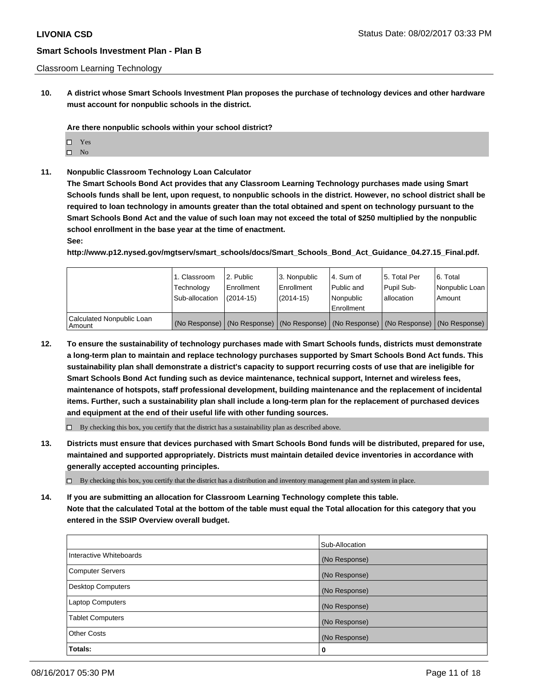#### Classroom Learning Technology

**10. A district whose Smart Schools Investment Plan proposes the purchase of technology devices and other hardware must account for nonpublic schools in the district.**

**Are there nonpublic schools within your school district?**

- □ Yes
- $\square$  No
- **11. Nonpublic Classroom Technology Loan Calculator**

**The Smart Schools Bond Act provides that any Classroom Learning Technology purchases made using Smart Schools funds shall be lent, upon request, to nonpublic schools in the district. However, no school district shall be required to loan technology in amounts greater than the total obtained and spent on technology pursuant to the Smart Schools Bond Act and the value of such loan may not exceed the total of \$250 multiplied by the nonpublic school enrollment in the base year at the time of enactment.**

#### **See:**

**http://www.p12.nysed.gov/mgtserv/smart\_schools/docs/Smart\_Schools\_Bond\_Act\_Guidance\_04.27.15\_Final.pdf.**

|                                     | 1. Classroom<br>Technology<br>Sub-allocation | 2. Public<br>Enrollment<br>(2014-15) | 3. Nonpublic<br>Enrollment<br>(2014-15) | l 4. Sum of<br>Public and<br>l Nonpublic<br>Enrollment                                        | 15. Total Per<br>Pupil Sub-<br>l allocation | l 6. Total<br>Nonpublic Loan<br>l Amount |
|-------------------------------------|----------------------------------------------|--------------------------------------|-----------------------------------------|-----------------------------------------------------------------------------------------------|---------------------------------------------|------------------------------------------|
| Calculated Nonpublic Loan<br>Amount |                                              |                                      |                                         | (No Response)   (No Response)   (No Response)   (No Response)   (No Response)   (No Response) |                                             |                                          |

**12. To ensure the sustainability of technology purchases made with Smart Schools funds, districts must demonstrate a long-term plan to maintain and replace technology purchases supported by Smart Schools Bond Act funds. This sustainability plan shall demonstrate a district's capacity to support recurring costs of use that are ineligible for Smart Schools Bond Act funding such as device maintenance, technical support, Internet and wireless fees, maintenance of hotspots, staff professional development, building maintenance and the replacement of incidental items. Further, such a sustainability plan shall include a long-term plan for the replacement of purchased devices and equipment at the end of their useful life with other funding sources.**

 $\Box$  By checking this box, you certify that the district has a sustainability plan as described above.

**13. Districts must ensure that devices purchased with Smart Schools Bond funds will be distributed, prepared for use, maintained and supported appropriately. Districts must maintain detailed device inventories in accordance with generally accepted accounting principles.**

By checking this box, you certify that the district has a distribution and inventory management plan and system in place.

**14. If you are submitting an allocation for Classroom Learning Technology complete this table. Note that the calculated Total at the bottom of the table must equal the Total allocation for this category that you entered in the SSIP Overview overall budget.**

|                          | Sub-Allocation |
|--------------------------|----------------|
| Interactive Whiteboards  | (No Response)  |
| <b>Computer Servers</b>  | (No Response)  |
| <b>Desktop Computers</b> | (No Response)  |
| Laptop Computers         | (No Response)  |
| <b>Tablet Computers</b>  | (No Response)  |
| <b>Other Costs</b>       | (No Response)  |
| Totals:                  | 0              |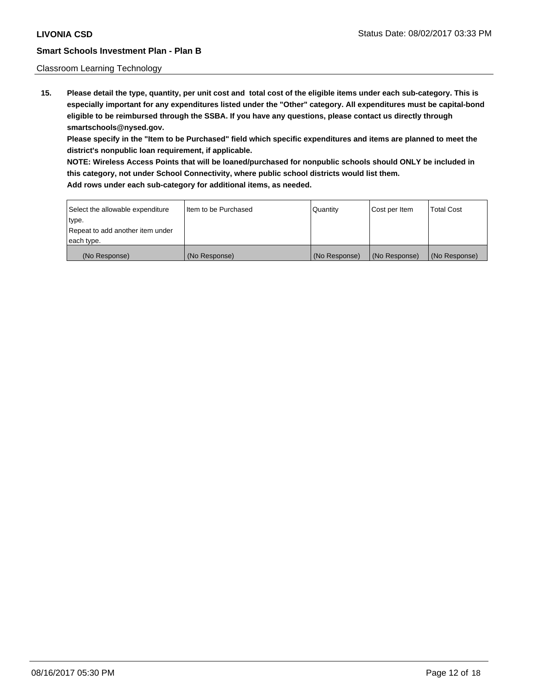#### Classroom Learning Technology

**15. Please detail the type, quantity, per unit cost and total cost of the eligible items under each sub-category. This is especially important for any expenditures listed under the "Other" category. All expenditures must be capital-bond eligible to be reimbursed through the SSBA. If you have any questions, please contact us directly through smartschools@nysed.gov.**

**Please specify in the "Item to be Purchased" field which specific expenditures and items are planned to meet the district's nonpublic loan requirement, if applicable.**

**NOTE: Wireless Access Points that will be loaned/purchased for nonpublic schools should ONLY be included in this category, not under School Connectivity, where public school districts would list them.**

| Select the allowable expenditure | I Item to be Purchased | Quantity      | Cost per Item | Total Cost    |
|----------------------------------|------------------------|---------------|---------------|---------------|
| type.                            |                        |               |               |               |
| Repeat to add another item under |                        |               |               |               |
| each type.                       |                        |               |               |               |
| (No Response)                    | (No Response)          | (No Response) | (No Response) | (No Response) |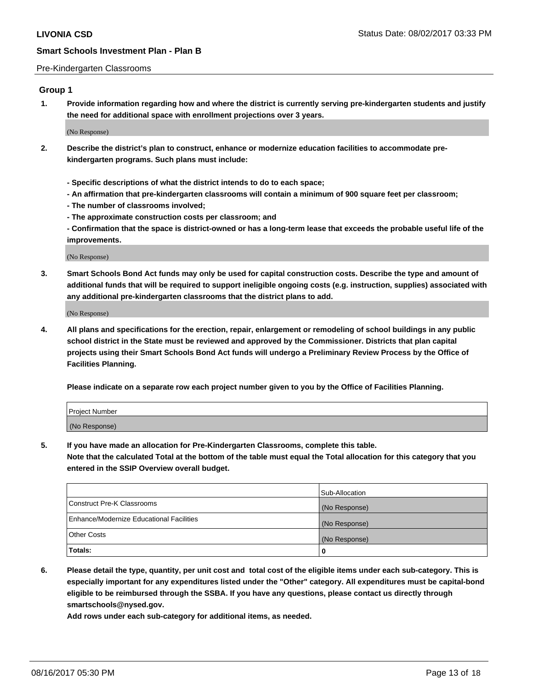#### Pre-Kindergarten Classrooms

#### **Group 1**

**1. Provide information regarding how and where the district is currently serving pre-kindergarten students and justify the need for additional space with enrollment projections over 3 years.**

(No Response)

- **2. Describe the district's plan to construct, enhance or modernize education facilities to accommodate prekindergarten programs. Such plans must include:**
	- **Specific descriptions of what the district intends to do to each space;**
	- **An affirmation that pre-kindergarten classrooms will contain a minimum of 900 square feet per classroom;**
	- **The number of classrooms involved;**
	- **The approximate construction costs per classroom; and**

**- Confirmation that the space is district-owned or has a long-term lease that exceeds the probable useful life of the improvements.**

(No Response)

**3. Smart Schools Bond Act funds may only be used for capital construction costs. Describe the type and amount of additional funds that will be required to support ineligible ongoing costs (e.g. instruction, supplies) associated with any additional pre-kindergarten classrooms that the district plans to add.**

(No Response)

**4. All plans and specifications for the erection, repair, enlargement or remodeling of school buildings in any public school district in the State must be reviewed and approved by the Commissioner. Districts that plan capital projects using their Smart Schools Bond Act funds will undergo a Preliminary Review Process by the Office of Facilities Planning.**

**Please indicate on a separate row each project number given to you by the Office of Facilities Planning.**

| Project Number |  |
|----------------|--|
| (No Response)  |  |

**5. If you have made an allocation for Pre-Kindergarten Classrooms, complete this table.**

**Note that the calculated Total at the bottom of the table must equal the Total allocation for this category that you entered in the SSIP Overview overall budget.**

|                                          | Sub-Allocation |
|------------------------------------------|----------------|
| Construct Pre-K Classrooms               | (No Response)  |
| Enhance/Modernize Educational Facilities | (No Response)  |
| Other Costs                              | (No Response)  |
| Totals:                                  | 0              |

**6. Please detail the type, quantity, per unit cost and total cost of the eligible items under each sub-category. This is especially important for any expenditures listed under the "Other" category. All expenditures must be capital-bond eligible to be reimbursed through the SSBA. If you have any questions, please contact us directly through smartschools@nysed.gov.**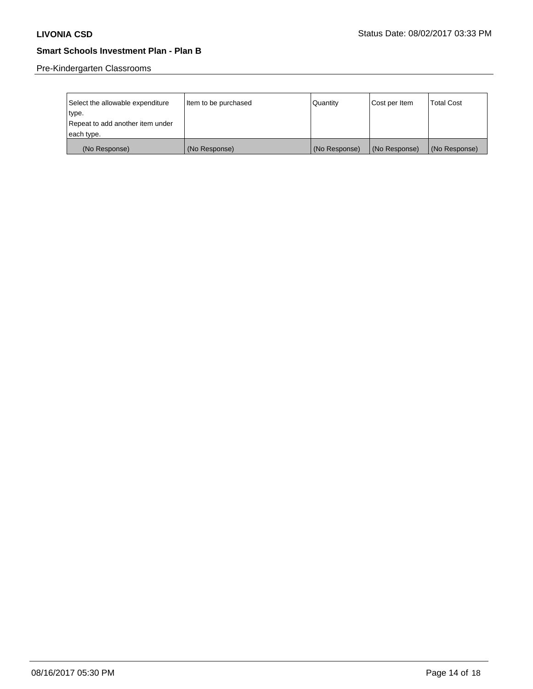Pre-Kindergarten Classrooms

| Select the allowable expenditure<br>∣type.<br>Repeat to add another item under | Item to be purchased | Quantity      | Cost per Item | <b>Total Cost</b> |
|--------------------------------------------------------------------------------|----------------------|---------------|---------------|-------------------|
| each type.                                                                     |                      |               |               |                   |
| (No Response)                                                                  | (No Response)        | (No Response) | (No Response) | (No Response)     |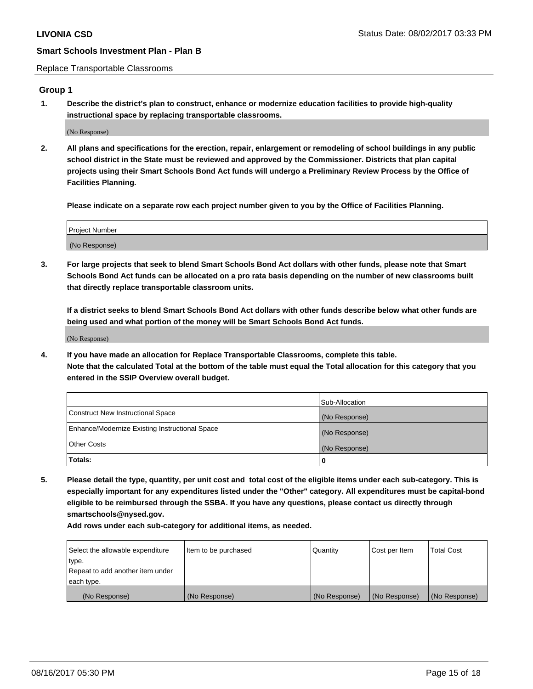Replace Transportable Classrooms

# **Group 1**

**1. Describe the district's plan to construct, enhance or modernize education facilities to provide high-quality instructional space by replacing transportable classrooms.**

(No Response)

**2. All plans and specifications for the erection, repair, enlargement or remodeling of school buildings in any public school district in the State must be reviewed and approved by the Commissioner. Districts that plan capital projects using their Smart Schools Bond Act funds will undergo a Preliminary Review Process by the Office of Facilities Planning.**

**Please indicate on a separate row each project number given to you by the Office of Facilities Planning.**

| Project Number |  |
|----------------|--|
| (No Response)  |  |

**3. For large projects that seek to blend Smart Schools Bond Act dollars with other funds, please note that Smart Schools Bond Act funds can be allocated on a pro rata basis depending on the number of new classrooms built that directly replace transportable classroom units.**

**If a district seeks to blend Smart Schools Bond Act dollars with other funds describe below what other funds are being used and what portion of the money will be Smart Schools Bond Act funds.**

(No Response)

**4. If you have made an allocation for Replace Transportable Classrooms, complete this table. Note that the calculated Total at the bottom of the table must equal the Total allocation for this category that you entered in the SSIP Overview overall budget.**

|                                                | Sub-Allocation |
|------------------------------------------------|----------------|
| Construct New Instructional Space              | (No Response)  |
| Enhance/Modernize Existing Instructional Space | (No Response)  |
| Other Costs                                    | (No Response)  |
| Totals:                                        | 0              |

**5. Please detail the type, quantity, per unit cost and total cost of the eligible items under each sub-category. This is especially important for any expenditures listed under the "Other" category. All expenditures must be capital-bond eligible to be reimbursed through the SSBA. If you have any questions, please contact us directly through smartschools@nysed.gov.**

| Select the allowable expenditure | lltem to be purchased | Quantity      | Cost per Item | <b>Total Cost</b> |
|----------------------------------|-----------------------|---------------|---------------|-------------------|
| type.                            |                       |               |               |                   |
| Repeat to add another item under |                       |               |               |                   |
| each type.                       |                       |               |               |                   |
| (No Response)                    | (No Response)         | (No Response) | (No Response) | (No Response)     |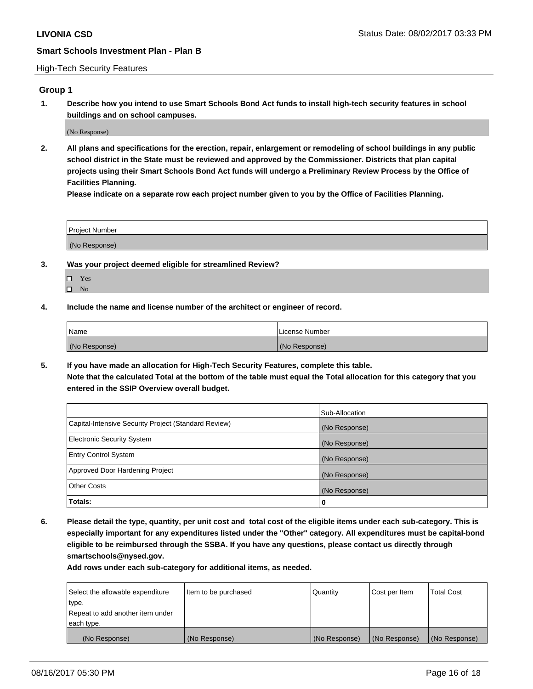#### High-Tech Security Features

# **Group 1**

**1. Describe how you intend to use Smart Schools Bond Act funds to install high-tech security features in school buildings and on school campuses.**

(No Response)

**2. All plans and specifications for the erection, repair, enlargement or remodeling of school buildings in any public school district in the State must be reviewed and approved by the Commissioner. Districts that plan capital projects using their Smart Schools Bond Act funds will undergo a Preliminary Review Process by the Office of Facilities Planning.** 

**Please indicate on a separate row each project number given to you by the Office of Facilities Planning.**

| <b>Project Number</b> |  |
|-----------------------|--|
| (No Response)         |  |

- **3. Was your project deemed eligible for streamlined Review?**
	- Yes  $\square$  No
- **4. Include the name and license number of the architect or engineer of record.**

| <b>Name</b>   | License Number |
|---------------|----------------|
| (No Response) | (No Response)  |

**5. If you have made an allocation for High-Tech Security Features, complete this table. Note that the calculated Total at the bottom of the table must equal the Total allocation for this category that you entered in the SSIP Overview overall budget.**

|                                                      | Sub-Allocation |
|------------------------------------------------------|----------------|
| Capital-Intensive Security Project (Standard Review) | (No Response)  |
| <b>Electronic Security System</b>                    | (No Response)  |
| <b>Entry Control System</b>                          | (No Response)  |
| Approved Door Hardening Project                      | (No Response)  |
| <b>Other Costs</b>                                   | (No Response)  |
| Totals:                                              | 0              |

**6. Please detail the type, quantity, per unit cost and total cost of the eligible items under each sub-category. This is especially important for any expenditures listed under the "Other" category. All expenditures must be capital-bond eligible to be reimbursed through the SSBA. If you have any questions, please contact us directly through smartschools@nysed.gov.**

| Select the allowable expenditure | Item to be purchased | Quantity      | Cost per Item | <b>Total Cost</b> |
|----------------------------------|----------------------|---------------|---------------|-------------------|
| type.                            |                      |               |               |                   |
| Repeat to add another item under |                      |               |               |                   |
| each type.                       |                      |               |               |                   |
| (No Response)                    | (No Response)        | (No Response) | (No Response) | (No Response)     |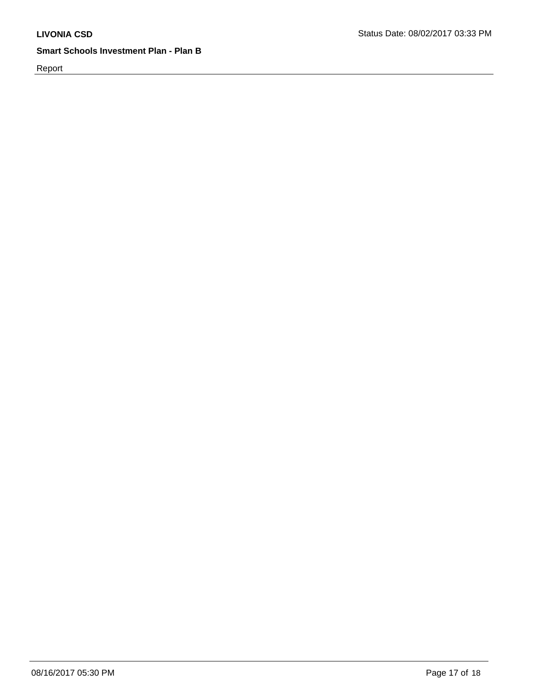Report